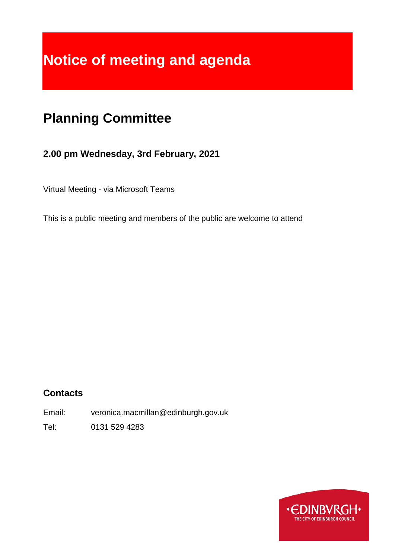# **Notice of meeting and agenda**

# **Planning Committee**

# **2.00 pm Wednesday, 3rd February, 2021**

Virtual Meeting - via Microsoft Teams

This is a public meeting and members of the public are welcome to attend

# **Contacts**

Email: veronica.macmillan@edinburgh.gov.uk

Tel: 0131 529 4283

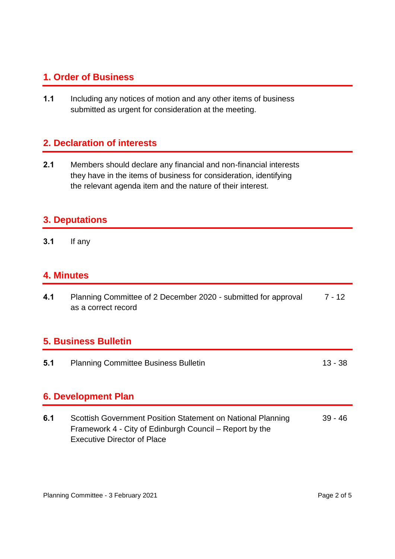### **1. Order of Business**

**1.1** Including any notices of motion and any other items of business submitted as urgent for consideration at the meeting.

# **2. Declaration of interests**

**2.1** Members should declare any financial and non-financial interests they have in the items of business for consideration, identifying the relevant agenda item and the nature of their interest.

#### **3. Deputations**

**3.1** If any

#### **4. Minutes**

**4.1** Planning Committee of 2 December 2020 - submitted for approval as a correct record 7 - 12

### **5. Business Bulletin**

**5.1** Planning Committee Business Bulletin 13 - 38

# **6. Development Plan**

**6.1** Scottish Government Position Statement on National Planning Framework 4 - City of Edinburgh Council – Report by the Executive Director of Place 39 - 46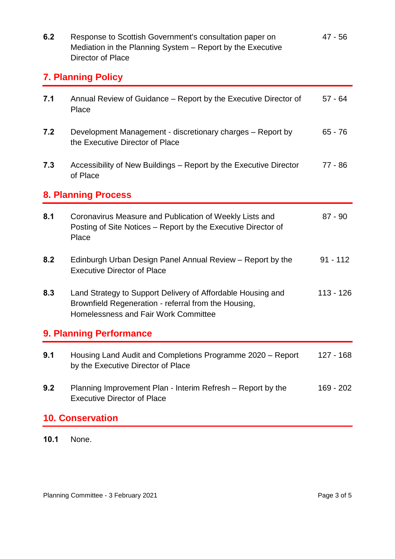| 6.2                        | Response to Scottish Government's consultation paper on<br>Mediation in the Planning System - Report by the Executive<br>Director of Place                         | $47 - 56$   |
|----------------------------|--------------------------------------------------------------------------------------------------------------------------------------------------------------------|-------------|
| <b>7. Planning Policy</b>  |                                                                                                                                                                    |             |
| 7.1                        | Annual Review of Guidance – Report by the Executive Director of<br>Place                                                                                           | $57 - 64$   |
| 7.2                        | Development Management - discretionary charges - Report by<br>the Executive Director of Place                                                                      | $65 - 76$   |
| 7.3                        | Accessibility of New Buildings – Report by the Executive Director<br>of Place                                                                                      | $77 - 86$   |
| <b>8. Planning Process</b> |                                                                                                                                                                    |             |
| 8.1                        | Coronavirus Measure and Publication of Weekly Lists and<br>Posting of Site Notices - Report by the Executive Director of<br>Place                                  | $87 - 90$   |
| 8.2                        | Edinburgh Urban Design Panel Annual Review - Report by the<br><b>Executive Director of Place</b>                                                                   | $91 - 112$  |
| 8.3                        | Land Strategy to Support Delivery of Affordable Housing and<br>Brownfield Regeneration - referral from the Housing,<br><b>Homelessness and Fair Work Committee</b> | $113 - 126$ |
| 9. Planning Performance    |                                                                                                                                                                    |             |
| 9.1                        | Housing Land Audit and Completions Programme 2020 - Report<br>by the Executive Director of Place                                                                   | $127 - 168$ |
| 9.2                        | Planning Improvement Plan - Interim Refresh – Report by the<br><b>Executive Director of Place</b>                                                                  | 169 - 202   |
| <b>10. Conservation</b>    |                                                                                                                                                                    |             |

**10.1** None.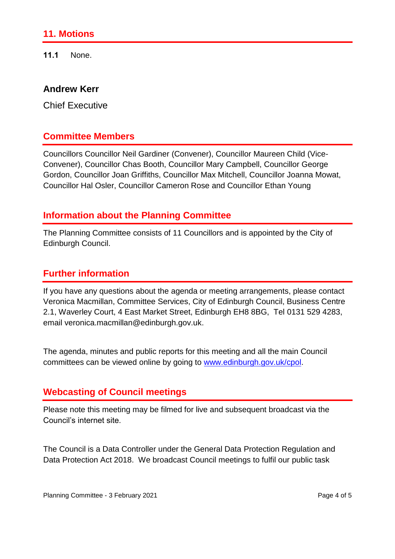#### **11. Motions**

**11.1** None.

#### **Andrew Kerr**

Chief Executive

#### **Committee Members**

Councillors Councillor Neil Gardiner (Convener), Councillor Maureen Child (Vice-Convener), Councillor Chas Booth, Councillor Mary Campbell, Councillor George Gordon, Councillor Joan Griffiths, Councillor Max Mitchell, Councillor Joanna Mowat, Councillor Hal Osler, Councillor Cameron Rose and Councillor Ethan Young

#### **Information about the Planning Committee**

The Planning Committee consists of 11 Councillors and is appointed by the City of Edinburgh Council.

# **Further information**

If you have any questions about the agenda or meeting arrangements, please contact Veronica Macmillan, Committee Services, City of Edinburgh Council, Business Centre 2.1, Waverley Court, 4 East Market Street, Edinburgh EH8 8BG, Tel 0131 529 4283, email veronica.macmillan@edinburgh.gov.uk.

The agenda, minutes and public reports for this meeting and all the main Council committees can be viewed online by going to [www.edinburgh.gov.uk/cpol.](http://www.edinburgh.gov.uk/cpol)

#### **Webcasting of Council meetings**

Please note this meeting may be filmed for live and subsequent broadcast via the Council's internet site.

The Council is a Data Controller under the General Data Protection Regulation and Data Protection Act 2018. We broadcast Council meetings to fulfil our public task